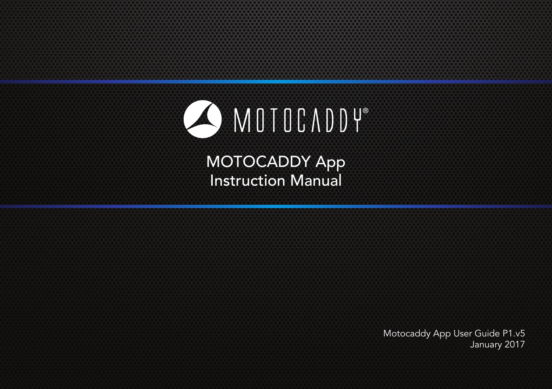# O MOTOCADDY®

MOTOCADDY App Instruction Manual

Motocaddy App User Guide P1.v5 January 2017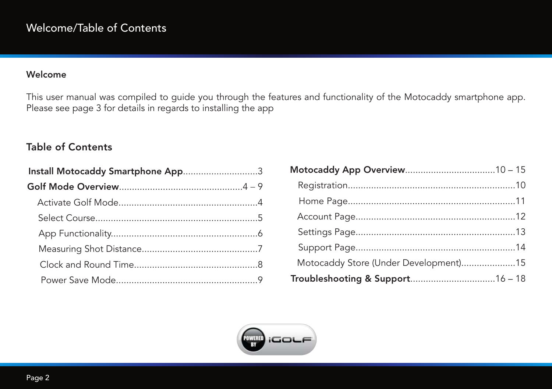#### Welcome

This user manual was compiled to guide you through the features and functionality of the Motocaddy smartphone app. Please see page 3 for details in regards to installing the app

#### Table of Contents

| Install Motocaddy Smartphone App3 |  |
|-----------------------------------|--|
|                                   |  |
|                                   |  |
|                                   |  |
|                                   |  |
|                                   |  |
|                                   |  |
|                                   |  |

| Motocaddy Store (Under Development)15 |  |
|---------------------------------------|--|
|                                       |  |

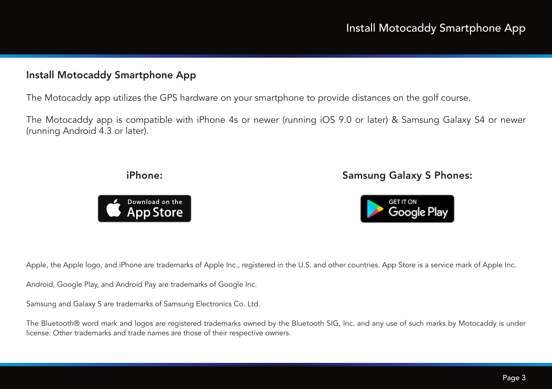#### Install Motocaddy Smartphone App

The Motocaddy app utilizes the GPS hardware on your smartphone to provide distances on the golf course.

The Motocaddy app is compatible with iPhone 4s or newer (running iOS 9.0 or later) & Samsung Galaxy S4 or newer (running Android 4.3 or later).

#### iPhone: Samsung Galaxy S Phones:



Apple, the Apple logo, and iPhone are trademarks of Apple Inc., registered in the U.S. and other countries. App Store is a service mark of Apple Inc.

Android, Google Play, and Android Pay are trademarks of Google Inc.

Samsung and Galaxy S are trademarks of Samsung Electronics Co. Ltd.

The Bluetooth® word mark and logos are registered trademarks owned by the Bluetooth SIG, Inc. and any use of such marks by Motocaddy is under license. Other trademarks and trade names are those of their respective owners.

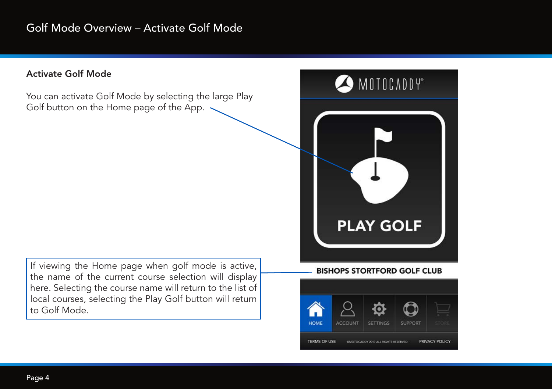#### Activate Golf Mode

You can activate Golf Mode by selecting the large Play Golf button on the Home page of the App. .

If viewing the Home page when golf mode is active, the name of the current course selection will display here. Selecting the course name will return to the list of local courses, selecting the Play Golf button will return to Golf Mode.



#### **BISHOPS STORTFORD GOLF CLUB**

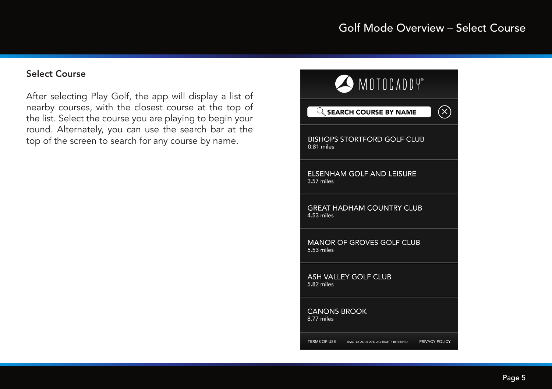#### Select Course

After selecting Play Golf, the app will display a list of nearby courses, with the closest course at the top of the list. Select the course you are playing to begin your round. Alternately, you can use the search bar at the top of the screen to search for any course by name.

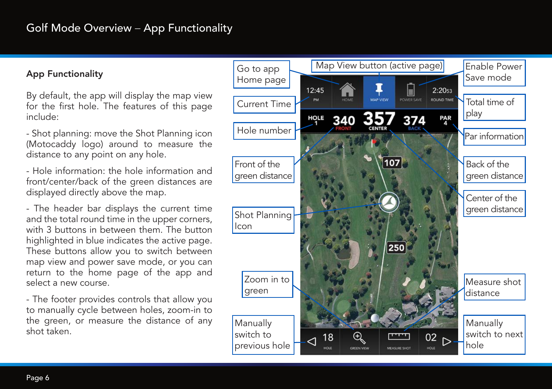#### App Functionality

By default, the app will display the map view for the first hole. The features of this page include:

- Shot planning: move the Shot Planning icon (Motocaddy logo) around to measure the distance to any point on any hole.

- Hole information: the hole information and front/center/back of the green distances are displayed directly above the map.

- The header bar displays the current time and the total round time in the upper corners, with 3 buttons in between them. The button highlighted in blue indicates the active page. These buttons allow you to switch between map view and power save mode, or you can return to the home page of the app and select a new course.

- The footer provides controls that allow you to manually cycle between holes, zoom-in to the green, or measure the distance of any shot taken.

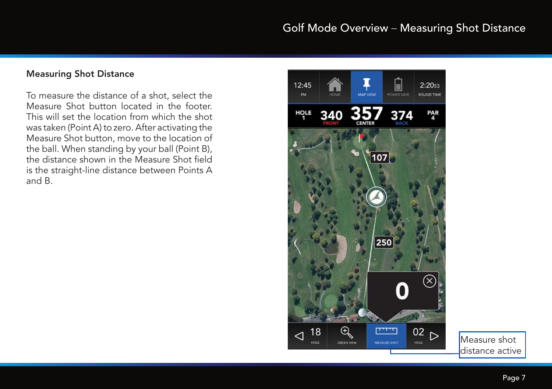#### Measuring Shot Distance

To measure the distance of a shot, select the Measure Shot button located in the footer. This will set the location from which the shot was taken (Point A) to zero. After activating the Measure Shot button, move to the location of the ball. When standing by your ball (Point B), the distance shown in the Measure Shot field is the straight-line distance between Points A and B.



Measure shot distance active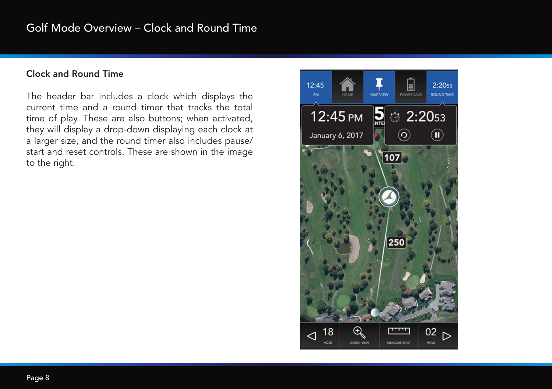#### Clock and Round Time

The header bar includes a clock which displays the current time and a round timer that tracks the total time of play. These are also buttons; when activated, they will display a drop-down displaying each clock at a larger size, and the round timer also includes pause/ start and reset controls. These are shown in the image to the right.

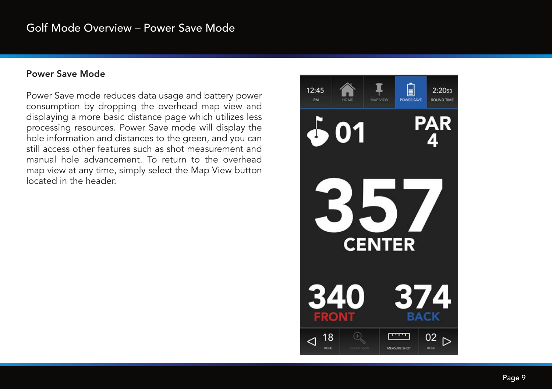#### Power Save Mode

Power Save mode reduces data usage and battery power consumption by dropping the overhead map view and displaying a more basic distance page which utilizes less processing resources. Power Save mode will display the hole information and distances to the green, and you can still access other features such as shot measurement and manual hole advancement. To return to the overhead map view at any time, simply select the Map View button located in the header.

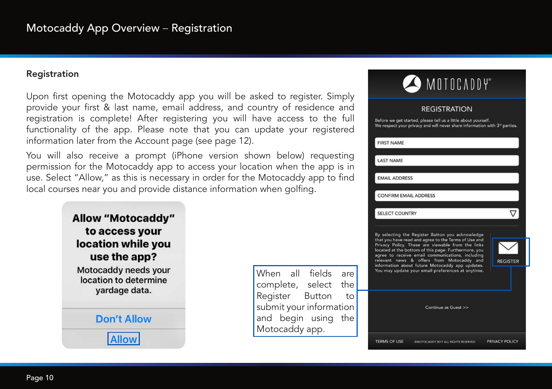#### Registration

Upon first opening the Motocaddy app you will be asked to register. Simply provide your first & last name, email address, and country of residence and registration is complete! After registering you will have access to the full functionality of the app. Please note that you can update your registered information later from the Account page (see page 12).

You will also receive a prompt (iPhone version shown below) requesting permission for the Motocaddy app to access your location when the app is in use. Select "Allow," as this is necessary in order for the Motocaddy app to find local courses near you and provide distance information when golfing.



When all fields are complete, select the Register Button to submit your information and begin using the Motocaddy app.

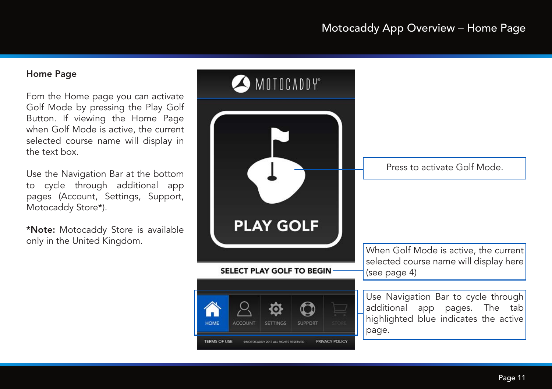### Motocaddy App Overview – Home Page

#### Home Page

Fom the Home page you can activate Golf Mode by pressing the Play Golf Button. If viewing the Home Page when Golf Mode is active, the current selected course name will display in the text box.

Use the Navigation Bar at the bottom to cycle through additional app pages (Account, Settings, Support, Motocaddy Store\*).

\*Note: Motocaddy Store is available only in the United Kingdom.

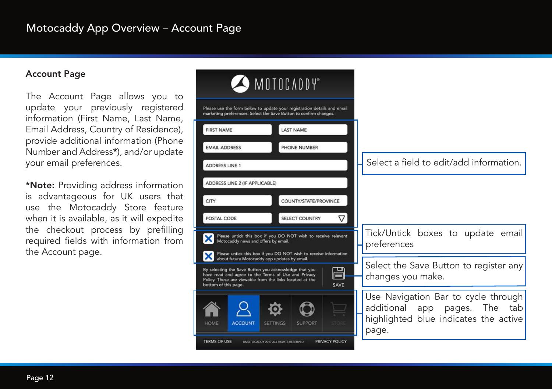#### Account Page

The Account Page allows you to update your previously registered information (First Name, Last Name, Email Address, Country of Residence), provide additional information (Phone Number and Address\*), and/or update your email preferences.

\*Note: Providing address information is advantageous for UK users that use the Motocaddy Store feature when it is available, as it will expedite the checkout process by prefilling required fields with information from the Account page.

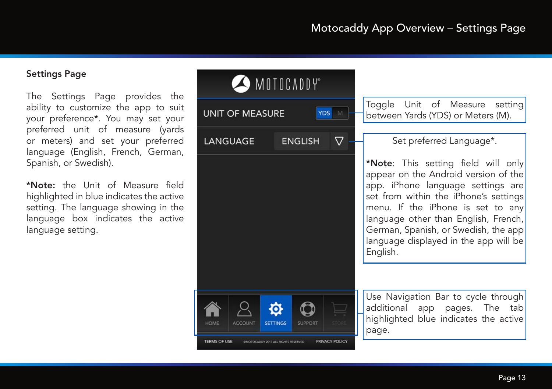#### Settings Page

The Settings Page provides the ability to customize the app to suit your preference\*. You may set your preferred unit of measure (yards or meters) and set your preferred language (English, French, German, Spanish, or Swedish).

\*Note: the Unit of Measure field highlighted in blue indicates the active setting. The language showing in the language box indicates the active language setting.

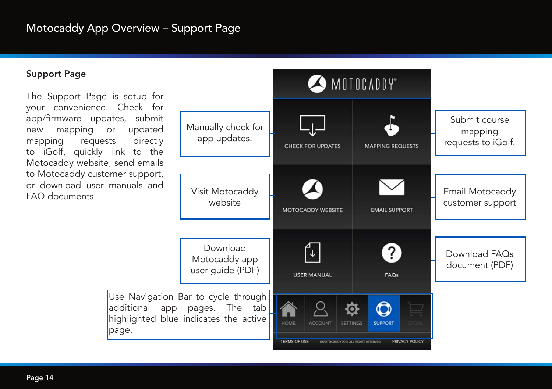#### Support Page

The Support Page is setup for your convenience. Check for app/firmware updates, submit new mapping or updated mapping requests directly to iGolf, quickly link to the Motocaddy website, send emails to Motocaddy customer support, or download user manuals and FAQ documents.

page.

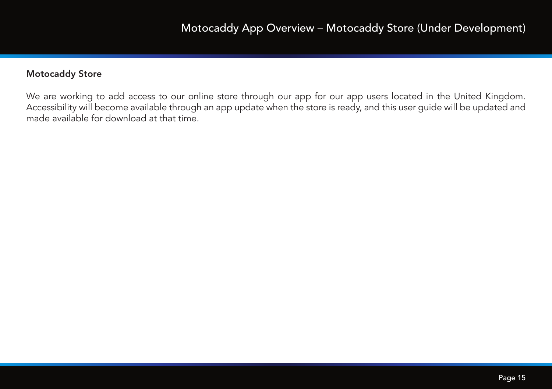#### Motocaddy Store

We are working to add access to our online store through our app for our app users located in the United Kingdom. Accessibility will become available through an app update when the store is ready, and this user guide will be updated and made available for download at that time.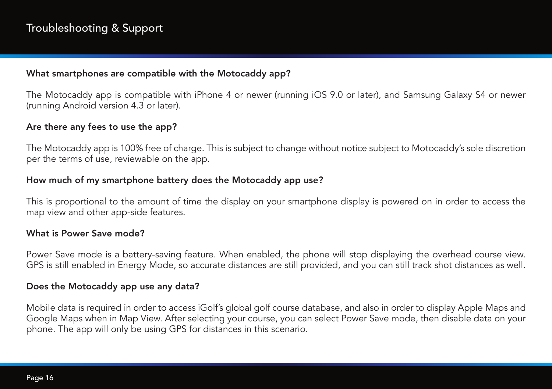#### What smartphones are compatible with the Motocaddy app?

The Motocaddy app is compatible with iPhone 4 or newer (running iOS 9.0 or later), and Samsung Galaxy S4 or newer (running Android version 4.3 or later).

#### Are there any fees to use the app?

The Motocaddy app is 100% free of charge. This is subject to change without notice subject to Motocaddy's sole discretion per the terms of use, reviewable on the app.

#### How much of my smartphone battery does the Motocaddy app use?

This is proportional to the amount of time the display on your smartphone display is powered on in order to access the map view and other app-side features.

#### What is Power Save mode?

Power Save mode is a battery-saving feature. When enabled, the phone will stop displaying the overhead course view. GPS is still enabled in Energy Mode, so accurate distances are still provided, and you can still track shot distances as well.

#### Does the Motocaddy app use any data?

Mobile data is required in order to access iGolf's global golf course database, and also in order to display Apple Maps and Google Maps when in Map View. After selecting your course, you can select Power Save mode, then disable data on your phone. The app will only be using GPS for distances in this scenario.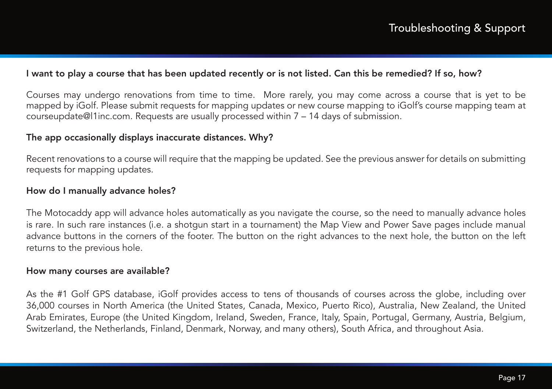#### I want to play a course that has been updated recently or is not listed. Can this be remedied? If so, how?

Courses may undergo renovations from time to time. More rarely, you may come across a course that is yet to be mapped by iGolf. Please submit requests for mapping updates or new course mapping to iGolf's course mapping team at courseupdate@l1inc.com. Requests are usually processed within 7 – 14 days of submission.

#### The app occasionally displays inaccurate distances. Why?

Recent renovations to a course will require that the mapping be updated. See the previous answer for details on submitting requests for mapping updates.

#### How do I manually advance holes?

The Motocaddy app will advance holes automatically as you navigate the course, so the need to manually advance holes is rare. In such rare instances (i.e. a shotgun start in a tournament) the Map View and Power Save pages include manual advance buttons in the corners of the footer. The button on the right advances to the next hole, the button on the left returns to the previous hole.

#### How many courses are available?

As the #1 Golf GPS database, iGolf provides access to tens of thousands of courses across the globe, including over 36,000 courses in North America (the United States, Canada, Mexico, Puerto Rico), Australia, New Zealand, the United Arab Emirates, Europe (the United Kingdom, Ireland, Sweden, France, Italy, Spain, Portugal, Germany, Austria, Belgium, Switzerland, the Netherlands, Finland, Denmark, Norway, and many others), South Africa, and throughout Asia.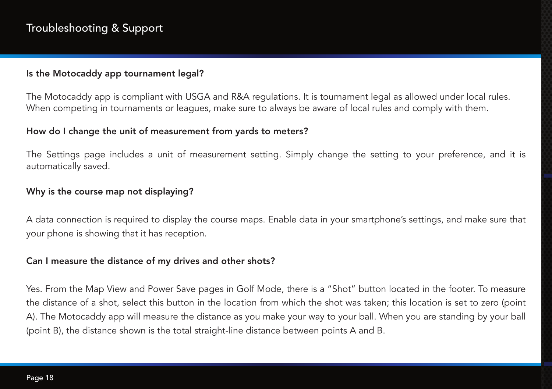#### Is the Motocaddy app tournament legal?

The Motocaddy app is compliant with USGA and R&A regulations. It is tournament legal as allowed under local rules. When competing in tournaments or leagues, make sure to always be aware of local rules and comply with them.

#### How do I change the unit of measurement from yards to meters?

The Settings page includes a unit of measurement setting. Simply change the setting to your preference, and it is automatically saved.

#### Why is the course map not displaying?

A data connection is required to display the course maps. Enable data in your smartphone's settings, and make sure that your phone is showing that it has reception.

#### Can I measure the distance of my drives and other shots?

Yes. From the Map View and Power Save pages in Golf Mode, there is a "Shot" button located in the footer. To measure the distance of a shot, select this button in the location from which the shot was taken; this location is set to zero (point A). The Motocaddy app will measure the distance as you make your way to your ball. When you are standing by your ball (point B), the distance shown is the total straight-line distance between points A and B.